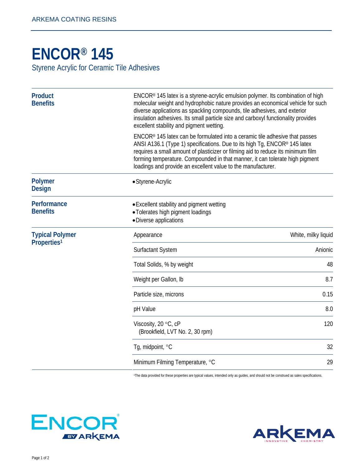## **[ENCOR® 1](http://www.arkemacoatingresins.com/en/index.html)45**

Styrene Acrylic for Ceramic Tile Adhesives

| <b>Product</b><br><b>Benefits</b>                 | ENCOR® 145 latex is a styrene-acrylic emulsion polymer. Its combination of high<br>molecular weight and hydrophobic nature provides an economical vehicle for such<br>diverse applications as spackling compounds, tile adhesives, and exterior<br>insulation adhesives. Its small particle size and carboxyl functionality provides<br>excellent stability and pigment wetting.               |                     |
|---------------------------------------------------|------------------------------------------------------------------------------------------------------------------------------------------------------------------------------------------------------------------------------------------------------------------------------------------------------------------------------------------------------------------------------------------------|---------------------|
|                                                   | $ENCOR®$ 145 latex can be formulated into a ceramic tile adhesive that passes<br>ANSI A136.1 (Type 1) specifications. Due to its high Tg, ENCOR® 145 latex<br>requires a small amount of plasticizer or filming aid to reduce its minimum film<br>forming temperature. Compounded in that manner, it can tolerate high pigment<br>loadings and provide an excellent value to the manufacturer. |                     |
| <b>Polymer</b><br><b>Design</b>                   | • Styrene-Acrylic                                                                                                                                                                                                                                                                                                                                                                              |                     |
| Performance<br><b>Benefits</b>                    | • Excellent stability and pigment wetting<br>• Tolerates high pigment loadings<br>· Diverse applications                                                                                                                                                                                                                                                                                       |                     |
| <b>Typical Polymer</b><br>Properties <sup>1</sup> | Appearance                                                                                                                                                                                                                                                                                                                                                                                     | White, milky liquid |
|                                                   | Surfactant System                                                                                                                                                                                                                                                                                                                                                                              | Anionic             |
|                                                   | Total Solids, % by weight                                                                                                                                                                                                                                                                                                                                                                      | 48                  |
|                                                   | Weight per Gallon, Ib                                                                                                                                                                                                                                                                                                                                                                          | 8.7                 |
|                                                   | Particle size, microns                                                                                                                                                                                                                                                                                                                                                                         | 0.15                |
|                                                   | pH Value                                                                                                                                                                                                                                                                                                                                                                                       | 8.0                 |
|                                                   | Viscosity, 20 °C, cP<br>(Brookfield, LVT No. 2, 30 rpm)                                                                                                                                                                                                                                                                                                                                        | 120                 |
|                                                   | Tg, midpoint, °C                                                                                                                                                                                                                                                                                                                                                                               | 32                  |
|                                                   | Minimum Filming Temperature, °C                                                                                                                                                                                                                                                                                                                                                                | 29                  |

1The data provided for these properties are typical values, intended only as guides, and should not be construed as sales specifications.